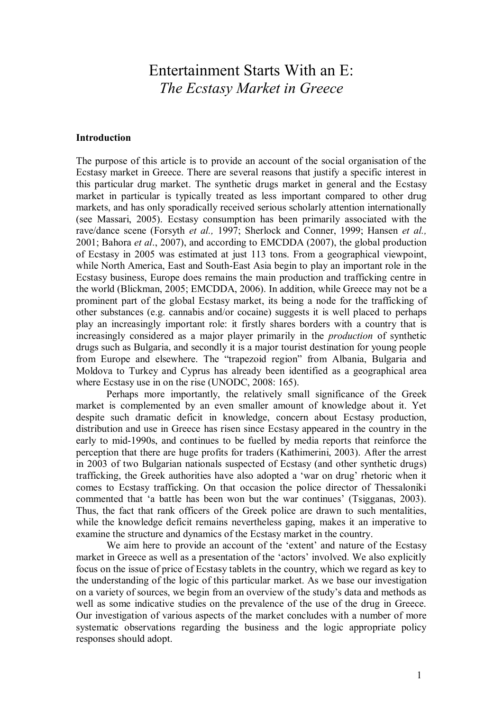# Entertainment Starts With an E: *The Ecstasy Market in Greece*

## **Introduction**

The purpose of this article is to provide an account of the social organisation of the Ecstasy market in Greece. There are several reasons that justify a specific interest in this particular drug market. The synthetic drugs market in general and the Ecstasy market in particular is typically treated as less important compared to other drug markets, and has only sporadically received serious scholarly attention internationally (see Massari, 2005). Ecstasy consumption has been primarily associated with the rave/dance scene (Forsyth *et al.,* 1997; Sherlock and Conner, 1999; Hansen *et al.,*  2001; Bahora *et al*., 2007), and according to EMCDDA (2007), the global production of Ecstasy in 2005 was estimated at just 113 tons. From a geographical viewpoint, while North America, East and South-East Asia begin to play an important role in the Ecstasy business, Europe does remains the main production and trafficking centre in the world (Blickman, 2005; EMCDDA, 2006). In addition, while Greece may not be a prominent part of the global Ecstasy market, its being a node for the trafficking of other substances (e.g. cannabis and/or cocaine) suggests it is well placed to perhaps play an increasingly important role: it firstly shares borders with a country that is increasingly considered as a major player primarily in the *production* of synthetic drugs such as Bulgaria, and secondly it is a major tourist destination for young people from Europe and elsewhere. The "trapezoid region" from Albania, Bulgaria and Moldova to Turkey and Cyprus has already been identified as a geographical area where Ecstasy use in on the rise (UNODC, 2008: 165).

Perhaps more importantly, the relatively small significance of the Greek market is complemented by an even smaller amount of knowledge about it. Yet despite such dramatic deficit in knowledge, concern about Ecstasy production, distribution and use in Greece has risen since Ecstasy appeared in the country in the early to mid-1990s, and continues to be fuelled by media reports that reinforce the perception that there are huge profits for traders (Kathimerini, 2003). After the arrest in 2003 of two Bulgarian nationals suspected of Ecstasy (and other synthetic drugs) trafficking, the Greek authorities have also adopted a 'war on drug' rhetoric when it comes to Ecstasy trafficking. On that occasion the police director of Thessaloniki commented that 'a battle has been won but the war continues' (Tsigganas, 2003). Thus, the fact that rank officers of the Greek police are drawn to such mentalities, while the knowledge deficit remains nevertheless gaping, makes it an imperative to examine the structure and dynamics of the Ecstasy market in the country.

We aim here to provide an account of the 'extent' and nature of the Ecstasy market in Greece as well as a presentation of the 'actors' involved. We also explicitly focus on the issue of price of Ecstasy tablets in the country, which we regard as key to the understanding of the logic of this particular market. As we base our investigation on a variety of sources, we begin from an overview of the study's data and methods as well as some indicative studies on the prevalence of the use of the drug in Greece. Our investigation of various aspects of the market concludes with a number of more systematic observations regarding the business and the logic appropriate policy responses should adopt.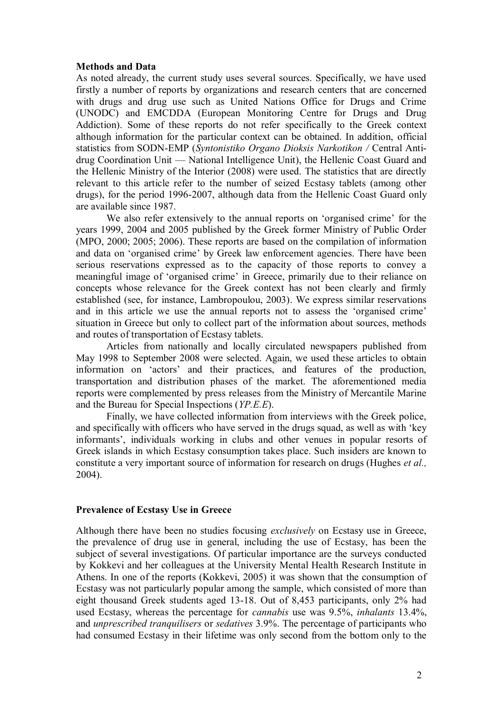## **Methods and Data**

As noted already, the current study uses several sources. Specifically, we have used firstly a number of reports by organizations and research centers that are concerned with drugs and drug use such as United Nations Office for Drugs and Crime (UNODC) and EMCDDA (European Monitoring Centre for Drugs and Drug Addiction). Some of these reports do not refer specifically to the Greek context although information for the particular context can be obtained. In addition, official statistics from SODN-EMP (*Syntonistiko Organo Dioksis Narkotikon /* Central Antidrug Coordination Unit — National Intelligence Unit), the Hellenic Coast Guard and the Hellenic Ministry of the Interior (2008) were used. The statistics that are directly relevant to this article refer to the number of seized Ecstasy tablets (among other drugs), for the period 1996-2007, although data from the Hellenic Coast Guard only are available since 1987.

We also refer extensively to the annual reports on 'organised crime' for the years 1999, 2004 and 2005 published by the Greek former Ministry of Public Order (MPO, 2000; 2005; 2006). These reports are based on the compilation of information and data on 'organised crime' by Greek law enforcement agencies. There have been serious reservations expressed as to the capacity of those reports to convey a meaningful image of ‗organised crime' in Greece, primarily due to their reliance on concepts whose relevance for the Greek context has not been clearly and firmly established (see, for instance, Lambropoulou, 2003). We express similar reservations and in this article we use the annual reports not to assess the 'organised crime' situation in Greece but only to collect part of the information about sources, methods and routes of transportation of Ecstasy tablets.

Articles from nationally and locally circulated newspapers published from May 1998 to September 2008 were selected. Again, we used these articles to obtain information on ‗actors' and their practices, and features of the production, transportation and distribution phases of the market. The aforementioned media reports were complemented by press releases from the Ministry of Mercantile Marine and the Bureau for Special Inspections (*YP.E.E*).

Finally, we have collected information from interviews with the Greek police, and specifically with officers who have served in the drugs squad, as well as with 'key informants', individuals working in clubs and other venues in popular resorts of Greek islands in which Ecstasy consumption takes place. Such insiders are known to constitute a very important source of information for research on drugs (Hughes *et al.,* 2004).

# **Prevalence of Ecstasy Use in Greece**

Although there have been no studies focusing *exclusively* on Ecstasy use in Greece, the prevalence of drug use in general, including the use of Ecstasy, has been the subject of several investigations. Of particular importance are the surveys conducted by Kokkevi and her colleagues at the University Mental Health Research Institute in Athens. In one of the reports (Kokkevi, 2005) it was shown that the consumption of Ecstasy was not particularly popular among the sample, which consisted of more than eight thousand Greek students aged 13-18. Out of 8,453 participants, only 2% had used Ecstasy, whereas the percentage for *cannabis* use was 9.5%, *inhalants* 13.4%, and *unprescribed tranquilisers* or *sedatives* 3.9%. The percentage of participants who had consumed Ecstasy in their lifetime was only second from the bottom only to the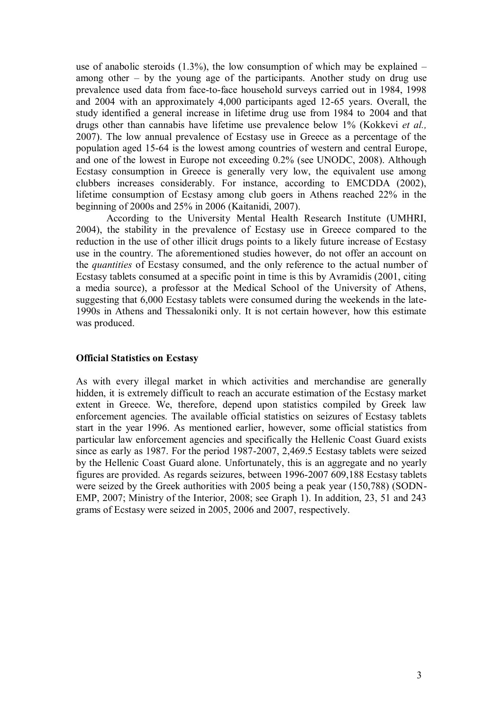use of anabolic steroids  $(1.3\%)$ , the low consumption of which may be explained – among other – by the young age of the participants. Another study on drug use prevalence used data from face-to-face household surveys carried out in 1984, 1998 and 2004 with an approximately 4,000 participants aged 12-65 years. Overall, the study identified a general increase in lifetime drug use from 1984 to 2004 and that drugs other than cannabis have lifetime use prevalence below 1% (Kokkevi *et al.,*  2007). The low annual prevalence of Ecstasy use in Greece as a percentage of the population aged 15-64 is the lowest among countries of western and central Europe, and one of the lowest in Europe not exceeding 0.2% (see UNODC, 2008). Although Ecstasy consumption in Greece is generally very low, the equivalent use among clubbers increases considerably. For instance, according to EMCDDA (2002), lifetime consumption of Ecstasy among club goers in Athens reached 22% in the beginning of 2000s and 25% in 2006 (Kaitanidi, 2007).

According to the University Mental Health Research Institute (UMHRI, 2004), the stability in the prevalence of Ecstasy use in Greece compared to the reduction in the use of other illicit drugs points to a likely future increase of Ecstasy use in the country. The aforementioned studies however, do not offer an account on the *quantities* of Ecstasy consumed, and the only reference to the actual number of Ecstasy tablets consumed at a specific point in time is this by Avramidis (2001, citing a media source), a professor at the Medical School of the University of Athens, suggesting that 6,000 Ecstasy tablets were consumed during the weekends in the late-1990s in Athens and Thessaloniki only. It is not certain however, how this estimate was produced.

# **Official Statistics on Ecstasy**

As with every illegal market in which activities and merchandise are generally hidden, it is extremely difficult to reach an accurate estimation of the Ecstasy market extent in Greece. We, therefore, depend upon statistics compiled by Greek law enforcement agencies. The available official statistics on seizures of Ecstasy tablets start in the year 1996. As mentioned earlier, however, some official statistics from particular law enforcement agencies and specifically the Hellenic Coast Guard exists since as early as 1987. For the period 1987-2007, 2,469.5 Ecstasy tablets were seized by the Hellenic Coast Guard alone. Unfortunately, this is an aggregate and no yearly figures are provided. As regards seizures, between 1996-2007 609,188 Ecstasy tablets were seized by the Greek authorities with 2005 being a peak year (150,788) (SODN-EMP, 2007; Ministry of the Interior, 2008; see Graph 1). In addition, 23, 51 and 243 grams of Ecstasy were seized in 2005, 2006 and 2007, respectively.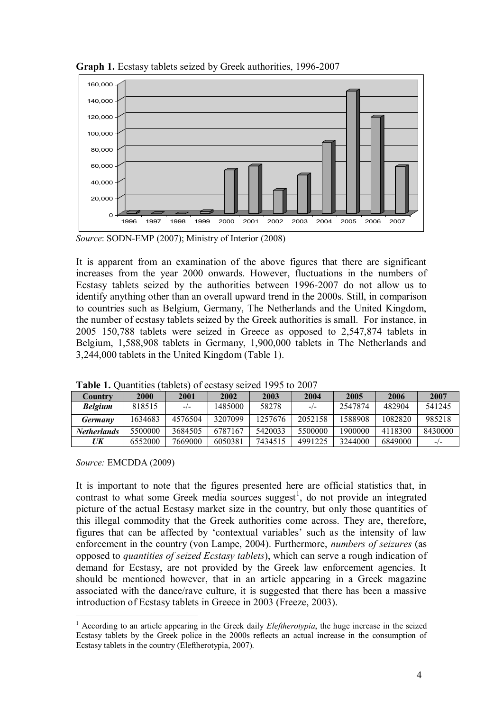

**Graph 1.** Ecstasy tablets seized by Greek authorities, 1996-2007

*Source*: SODN-EMP (2007); Ministry of Interior (2008)

It is apparent from an examination of the above figures that there are significant increases from the year 2000 onwards. However, fluctuations in the numbers of Ecstasy tablets seized by the authorities between 1996-2007 do not allow us to identify anything other than an overall upward trend in the 2000s. Still, in comparison to countries such as Belgium, Germany, The Netherlands and the United Kingdom, the number of ecstasy tablets seized by the Greek authorities is small. For instance, in 2005 150,788 tablets were seized in Greece as opposed to 2,547,874 tablets in Belgium, 1,588,908 tablets in Germany, 1,900,000 tablets in The Netherlands and 3,244,000 tablets in the United Kingdom (Table 1).

| Country            | 2000    | 2001    | 2002    | 2003    | 2004    | 2005    | 2006    | 2007    |
|--------------------|---------|---------|---------|---------|---------|---------|---------|---------|
| <b>Belgium</b>     | 818515  | $-/-$   | 1485000 | 58278   | $-/-$   | 2547874 | 482904  | 541245  |
| <b>Germany</b>     | 1634683 | 4576504 | 3207099 | 1257676 | 2052158 | 1588908 | 1082820 | 985218  |
| <i>Netherlands</i> | 5500000 | 3684505 | 6787167 | 5420033 | 5500000 | 1900000 | 4118300 | 8430000 |
| UK                 | 6552000 | 7669000 | 6050381 | 7434515 | 4991225 | 3244000 | 6849000 | $-1-$   |

**Table 1.** Ouantities (tablets) of ecstasy seized 1995 to 2007

*Source:* EMCDDA (2009)

<u>.</u>

It is important to note that the figures presented here are official statistics that, in contrast to what some Greek media sources suggest<sup>1</sup>, do not provide an integrated picture of the actual Ecstasy market size in the country, but only those quantities of this illegal commodity that the Greek authorities come across. They are, therefore, figures that can be affected by 'contextual variables' such as the intensity of law enforcement in the country (von Lampe, 2004). Furthermore, *numbers of seizures* (as opposed to *quantities of seized Ecstasy tablets*), which can serve a rough indication of demand for Ecstasy, are not provided by the Greek law enforcement agencies. It should be mentioned however, that in an article appearing in a Greek magazine associated with the dance/rave culture, it is suggested that there has been a massive introduction of Ecstasy tablets in Greece in 2003 (Freeze, 2003).

<sup>1</sup> According to an article appearing in the Greek daily *Eleftherotypia*, the huge increase in the seized Ecstasy tablets by the Greek police in the 2000s reflects an actual increase in the consumption of Ecstasy tablets in the country (Eleftherotypia, 2007).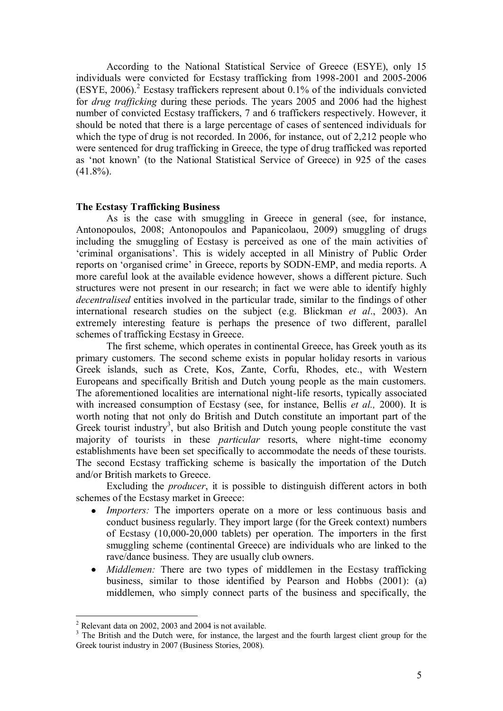According to the National Statistical Service of Greece (ESYE), only 15 individuals were convicted for Ecstasy trafficking from 1998-2001 and 2005-2006  $(ESYE, 2006).$ <sup>2</sup> Ecstasy traffickers represent about 0.1% of the individuals convicted for *drug trafficking* during these periods. The years 2005 and 2006 had the highest number of convicted Ecstasy traffickers, 7 and 6 traffickers respectively. However, it should be noted that there is a large percentage of cases of sentenced individuals for which the type of drug is not recorded. In 2006, for instance, out of 2,212 people who were sentenced for drug trafficking in Greece, the type of drug trafficked was reported as ‗not known' (to the National Statistical Service of Greece) in 925 of the cases  $(41.8\%)$ .

# **The Ecstasy Trafficking Business**

As is the case with smuggling in Greece in general (see, for instance, Antonopoulos, 2008; Antonopoulos and Papanicolaou, 2009) smuggling of drugs including the smuggling of Ecstasy is perceived as one of the main activities of ‗criminal organisations'. This is widely accepted in all Ministry of Public Order reports on 'organised crime' in Greece, reports by SODN-EMP, and media reports. A more careful look at the available evidence however, shows a different picture. Such structures were not present in our research; in fact we were able to identify highly *decentralised* entities involved in the particular trade, similar to the findings of other international research studies on the subject (e.g. Blickman *et al*., 2003). An extremely interesting feature is perhaps the presence of two different, parallel schemes of trafficking Ecstasy in Greece.

The first scheme, which operates in continental Greece, has Greek youth as its primary customers. The second scheme exists in popular holiday resorts in various Greek islands, such as Crete, Kos, Zante, Corfu, Rhodes, etc., with Western Europeans and specifically British and Dutch young people as the main customers. The aforementioned localities are international night-life resorts, typically associated with increased consumption of Ecstasy (see, for instance, Bellis *et al.,* 2000). It is worth noting that not only do British and Dutch constitute an important part of the Greek tourist industry<sup>3</sup>, but also British and Dutch young people constitute the vast majority of tourists in these *particular* resorts, where night-time economy establishments have been set specifically to accommodate the needs of these tourists. The second Ecstasy trafficking scheme is basically the importation of the Dutch and/or British markets to Greece.

Excluding the *producer*, it is possible to distinguish different actors in both schemes of the Ecstasy market in Greece:

- *Importers:* The importers operate on a more or less continuous basis and conduct business regularly. They import large (for the Greek context) numbers of Ecstasy (10,000-20,000 tablets) per operation. The importers in the first smuggling scheme (continental Greece) are individuals who are linked to the rave/dance business. They are usually club owners.
- *Middlemen:* There are two types of middlemen in the Ecstasy trafficking business, similar to those identified by Pearson and Hobbs (2001): (a) middlemen, who simply connect parts of the business and specifically, the

<u>.</u>

 $2$  Relevant data on 2002, 2003 and 2004 is not available.

<sup>&</sup>lt;sup>3</sup> The British and the Dutch were, for instance, the largest and the fourth largest client group for the Greek tourist industry in 2007 (Business Stories, 2008).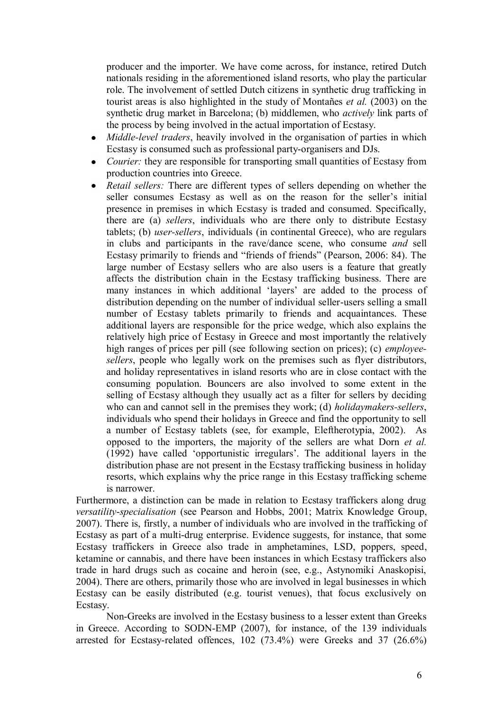producer and the importer. We have come across, for instance, retired Dutch nationals residing in the aforementioned island resorts, who play the particular role. The involvement of settled Dutch citizens in synthetic drug trafficking in tourist areas is also highlighted in the study of Montañes *et al.* (2003) on the synthetic drug market in Barcelona; (b) middlemen, who *actively* link parts of the process by being involved in the actual importation of Ecstasy.

- *Middle-level traders*, heavily involved in the organisation of parties in which  $\bullet$ Ecstasy is consumed such as professional party-organisers and DJs.
- *Courier:* they are responsible for transporting small quantities of Ecstasy from production countries into Greece.
- *Retail sellers:* There are different types of sellers depending on whether the  $\bullet$ seller consumes Ecstasy as well as on the reason for the seller's initial presence in premises in which Ecstasy is traded and consumed. Specifically, there are (a) *sellers*, individuals who are there only to distribute Ecstasy tablets; (b) *user-sellers*, individuals (in continental Greece), who are regulars in clubs and participants in the rave/dance scene, who consume *and* sell Ecstasy primarily to friends and "friends of friends" (Pearson, 2006: 84). The large number of Ecstasy sellers who are also users is a feature that greatly affects the distribution chain in the Ecstasy trafficking business. There are many instances in which additional 'layers' are added to the process of distribution depending on the number of individual seller-users selling a small number of Ecstasy tablets primarily to friends and acquaintances. These additional layers are responsible for the price wedge, which also explains the relatively high price of Ecstasy in Greece and most importantly the relatively high ranges of prices per pill (see following section on prices); (c) *employeesellers*, people who legally work on the premises such as flyer distributors, and holiday representatives in island resorts who are in close contact with the consuming population. Bouncers are also involved to some extent in the selling of Ecstasy although they usually act as a filter for sellers by deciding who can and cannot sell in the premises they work; (d) *holidaymakers-sellers*, individuals who spend their holidays in Greece and find the opportunity to sell a number of Ecstasy tablets (see, for example, Eleftherotypia, 2002). As opposed to the importers, the majority of the sellers are what Dorn *et al.*  (1992) have called ‗opportunistic irregulars'. The additional layers in the distribution phase are not present in the Ecstasy trafficking business in holiday resorts, which explains why the price range in this Ecstasy trafficking scheme is narrower.

Furthermore, a distinction can be made in relation to Ecstasy traffickers along drug *versatility*-*specialisation* (see Pearson and Hobbs, 2001; Matrix Knowledge Group, 2007). There is, firstly, a number of individuals who are involved in the trafficking of Ecstasy as part of a multi-drug enterprise. Evidence suggests, for instance, that some Ecstasy traffickers in Greece also trade in amphetamines, LSD, poppers, speed, ketamine or cannabis, and there have been instances in which Ecstasy traffickers also trade in hard drugs such as cocaine and heroin (see, e.g., Astynomiki Anaskopisi, 2004). There are others, primarily those who are involved in legal businesses in which Ecstasy can be easily distributed (e.g. tourist venues), that focus exclusively on Ecstasy.

Non-Greeks are involved in the Ecstasy business to a lesser extent than Greeks in Greece. According to SODN-EMP (2007), for instance, of the 139 individuals arrested for Ecstasy-related offences, 102 (73.4%) were Greeks and 37 (26.6%)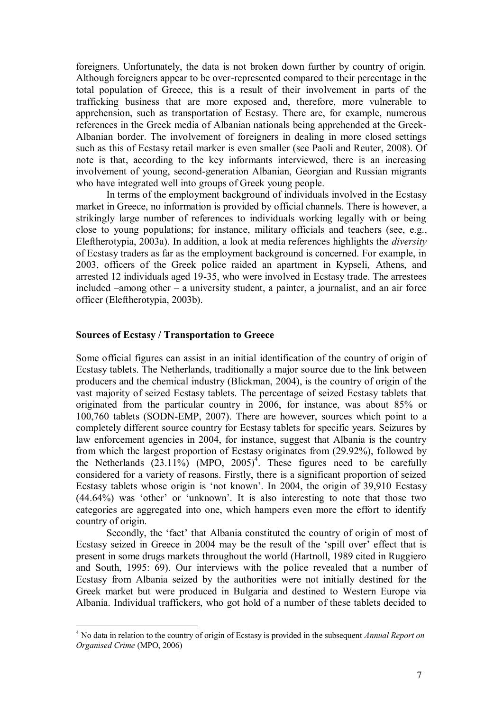foreigners. Unfortunately, the data is not broken down further by country of origin. Although foreigners appear to be over-represented compared to their percentage in the total population of Greece, this is a result of their involvement in parts of the trafficking business that are more exposed and, therefore, more vulnerable to apprehension, such as transportation of Ecstasy. There are, for example, numerous references in the Greek media of Albanian nationals being apprehended at the Greek-Albanian border. The involvement of foreigners in dealing in more closed settings such as this of Ecstasy retail marker is even smaller (see Paoli and Reuter, 2008). Of note is that, according to the key informants interviewed, there is an increasing involvement of young, second-generation Albanian, Georgian and Russian migrants who have integrated well into groups of Greek young people.

In terms of the employment background of individuals involved in the Ecstasy market in Greece, no information is provided by official channels. There is however, a strikingly large number of references to individuals working legally with or being close to young populations; for instance, military officials and teachers (see, e.g., Eleftherotypia, 2003a). In addition, a look at media references highlights the *diversity* of Ecstasy traders as far as the employment background is concerned. For example, in 2003, officers of the Greek police raided an apartment in Kypseli, Athens, and arrested 12 individuals aged 19-35, who were involved in Ecstasy trade. The arrestees included –among other – a university student, a painter, a journalist, and an air force officer (Eleftherotypia, 2003b).

#### **Sources of Ecstasy / Transportation to Greece**

1

Some official figures can assist in an initial identification of the country of origin of Ecstasy tablets. The Netherlands, traditionally a major source due to the link between producers and the chemical industry (Blickman, 2004), is the country of origin of the vast majority of seized Ecstasy tablets. The percentage of seized Ecstasy tablets that originated from the particular country in 2006, for instance, was about 85% or 100,760 tablets (SODN-EMP, 2007). There are however, sources which point to a completely different source country for Ecstasy tablets for specific years. Seizures by law enforcement agencies in 2004, for instance, suggest that Albania is the country from which the largest proportion of Ecstasy originates from (29.92%), followed by the Netherlands  $(23.11\%)$  (MPO,  $2005)^4$ . These figures need to be carefully considered for a variety of reasons. Firstly, there is a significant proportion of seized Ecstasy tablets whose origin is 'not known'. In 2004, the origin of 39,910 Ecstasy  $(44.64%)$  was 'other' or 'unknown'. It is also interesting to note that those two categories are aggregated into one, which hampers even more the effort to identify country of origin.

Secondly, the 'fact' that Albania constituted the country of origin of most of Ecstasy seized in Greece in 2004 may be the result of the 'spill over' effect that is present in some drugs markets throughout the world (Hartnoll, 1989 cited in Ruggiero and South, 1995: 69). Our interviews with the police revealed that a number of Ecstasy from Albania seized by the authorities were not initially destined for the Greek market but were produced in Bulgaria and destined to Western Europe via Albania. Individual traffickers, who got hold of a number of these tablets decided to

<sup>4</sup> No data in relation to the country of origin of Ecstasy is provided in the subsequent *Annual Report on Organised Crime* (MPO, 2006)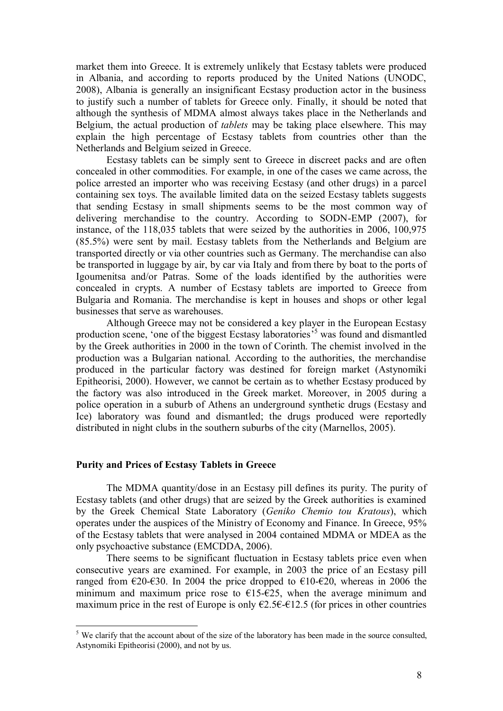market them into Greece. It is extremely unlikely that Ecstasy tablets were produced in Albania, and according to reports produced by the United Nations (UNODC, 2008), Albania is generally an insignificant Ecstasy production actor in the business to justify such a number of tablets for Greece only. Finally, it should be noted that although the synthesis of MDMA almost always takes place in the Netherlands and Belgium, the actual production of *tablets* may be taking place elsewhere. This may explain the high percentage of Ecstasy tablets from countries other than the Netherlands and Belgium seized in Greece.

Ecstasy tablets can be simply sent to Greece in discreet packs and are often concealed in other commodities. For example, in one of the cases we came across, the police arrested an importer who was receiving Ecstasy (and other drugs) in a parcel containing sex toys. The available limited data on the seized Ecstasy tablets suggests that sending Ecstasy in small shipments seems to be the most common way of delivering merchandise to the country. According to SODN-EMP (2007), for instance, of the 118,035 tablets that were seized by the authorities in 2006, 100,975 (85.5%) were sent by mail. Ecstasy tablets from the Netherlands and Belgium are transported directly or via other countries such as Germany. The merchandise can also be transported in luggage by air, by car via Italy and from there by boat to the ports of Igoumenitsa and/or Patras. Some of the loads identified by the authorities were concealed in crypts. A number of Ecstasy tablets are imported to Greece from Bulgaria and Romania. The merchandise is kept in houses and shops or other legal businesses that serve as warehouses.

Although Greece may not be considered a key player in the European Ecstasy production scene, 'one of the biggest Ecstasy laboratories<sup>55</sup> was found and dismantled by the Greek authorities in 2000 in the town of Corinth. The chemist involved in the production was a Bulgarian national. According to the authorities, the merchandise produced in the particular factory was destined for foreign market (Astynomiki Epitheorisi, 2000). However, we cannot be certain as to whether Ecstasy produced by the factory was also introduced in the Greek market. Moreover, in 2005 during a police operation in a suburb of Athens an underground synthetic drugs (Ecstasy and Ice) laboratory was found and dismantled; the drugs produced were reportedly distributed in night clubs in the southern suburbs of the city (Marnellos, 2005).

#### **Purity and Prices of Ecstasy Tablets in Greece**

1

The MDMA quantity/dose in an Ecstasy pill defines its purity. The purity of Ecstasy tablets (and other drugs) that are seized by the Greek authorities is examined by the Greek Chemical State Laboratory (*Geniko Chemio tou Kratous*), which operates under the auspices of the Ministry of Economy and Finance. In Greece, 95% of the Ecstasy tablets that were analysed in 2004 contained MDMA or MDEA as the only psychoactive substance (EMCDDA, 2006).

There seems to be significant fluctuation in Ecstasy tablets price even when consecutive years are examined. For example, in 2003 the price of an Ecstasy pill ranged from  $\epsilon$ 20- $\epsilon$ 30. In 2004 the price dropped to  $\epsilon$ 10- $\epsilon$ 20, whereas in 2006 the minimum and maximum price rose to  $\epsilon$ 15- $\epsilon$ 25, when the average minimum and maximum price in the rest of Europe is only  $\epsilon$ 2.5 $\epsilon$ - $\epsilon$ 12.5 (for prices in other countries

 $<sup>5</sup>$  We clarify that the account about of the size of the laboratory has been made in the source consulted.</sup> Astynomiki Epitheorisi (2000), and not by us.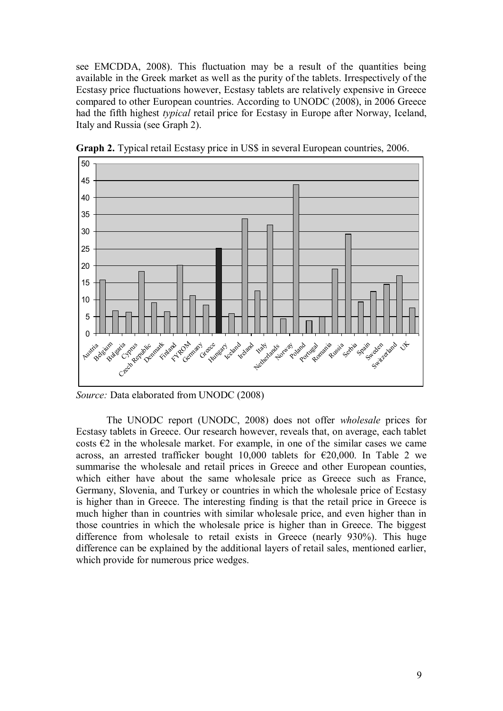see EMCDDA, 2008). This fluctuation may be a result of the quantities being available in the Greek market as well as the purity of the tablets. Irrespectively of the Ecstasy price fluctuations however, Ecstasy tablets are relatively expensive in Greece compared to other European countries. According to UNODC (2008), in 2006 Greece had the fifth highest *typical* retail price for Ecstasy in Europe after Norway, Iceland, Italy and Russia (see Graph 2).



**Graph 2.** Typical retail Ecstasy price in US\$ in several European countries, 2006.

*Source:* Data elaborated from UNODC (2008)

The UNODC report (UNODC, 2008) does not offer *wholesale* prices for Ecstasy tablets in Greece. Our research however, reveals that, on average, each tablet costs  $\epsilon$ 2 in the wholesale market. For example, in one of the similar cases we came across, an arrested trafficker bought 10,000 tablets for  $\epsilon$ 20,000. In Table 2 we summarise the wholesale and retail prices in Greece and other European counties, which either have about the same wholesale price as Greece such as France, Germany, Slovenia, and Turkey or countries in which the wholesale price of Ecstasy is higher than in Greece. The interesting finding is that the retail price in Greece is much higher than in countries with similar wholesale price, and even higher than in those countries in which the wholesale price is higher than in Greece. The biggest difference from wholesale to retail exists in Greece (nearly 930%). This huge difference can be explained by the additional layers of retail sales, mentioned earlier, which provide for numerous price wedges.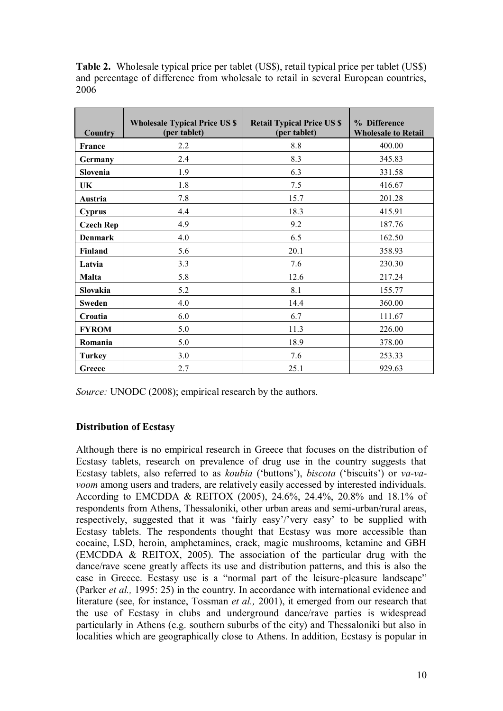| <b>Country</b>   | <b>Wholesale Typical Price US \$</b><br>(per tablet) | <b>Retail Typical Price US \$</b><br>(per tablet) | % Difference<br><b>Wholesale to Retail</b> |
|------------------|------------------------------------------------------|---------------------------------------------------|--------------------------------------------|
| <b>France</b>    | 2.2                                                  | 8.8                                               | 400.00                                     |
| Germany          | 2.4                                                  | 8.3                                               | 345.83                                     |
| Slovenia         | 1.9                                                  | 6.3                                               | 331.58                                     |
| UK               | 1.8                                                  | 7.5                                               | 416.67                                     |
| Austria          | 7.8                                                  | 15.7                                              | 201.28                                     |
| <b>Cyprus</b>    | 4.4                                                  | 18.3                                              | 415.91                                     |
| <b>Czech Rep</b> | 4.9                                                  | 9.2                                               | 187.76                                     |
| <b>Denmark</b>   | 4.0                                                  | 6.5                                               | 162.50                                     |
| <b>Finland</b>   | 5.6                                                  | 20.1                                              | 358.93                                     |
| Latvia           | 3.3                                                  | 7.6                                               | 230.30                                     |
| Malta            | 5.8                                                  | 12.6                                              | 217.24                                     |
| Slovakia         | 5.2                                                  | 8.1                                               | 155.77                                     |
| <b>Sweden</b>    | 4.0                                                  | 14.4                                              | 360.00                                     |
| Croatia          | 6.0                                                  | 6.7                                               | 111.67                                     |
| <b>FYROM</b>     | 5.0                                                  | 11.3                                              | 226.00                                     |
| Romania          | 5.0                                                  | 18.9                                              | 378.00                                     |
| <b>Turkey</b>    | 3.0                                                  | 7.6                                               | 253.33                                     |
| Greece           | 2.7                                                  | 25.1                                              | 929.63                                     |

**Table 2.** Wholesale typical price per tablet (US\$), retail typical price per tablet (US\$) and percentage of difference from wholesale to retail in several European countries, 2006

*Source:* UNODC (2008); empirical research by the authors.

# **Distribution of Ecstasy**

Although there is no empirical research in Greece that focuses on the distribution of Ecstasy tablets, research on prevalence of drug use in the country suggests that Ecstasy tablets, also referred to as *koubia* (‗buttons'), *biscota* (‗biscuits') or *va-vavoom* among users and traders, are relatively easily accessed by interested individuals. According to EMCDDA & REITOX (2005), 24.6%, 24.4%, 20.8% and 18.1% of respondents from Athens, Thessaloniki, other urban areas and semi-urban/rural areas, respectively, suggested that it was 'fairly easy'/'very easy' to be supplied with Ecstasy tablets. The respondents thought that Ecstasy was more accessible than cocaine, LSD, heroin, amphetamines, crack, magic mushrooms, ketamine and GBH (EMCDDA & REITOX, 2005). The association of the particular drug with the dance/rave scene greatly affects its use and distribution patterns, and this is also the case in Greece. Ecstasy use is a "normal part of the leisure-pleasure landscape" (Parker *et al.,* 1995: 25) in the country. In accordance with international evidence and literature (see, for instance, Tossman *et al.,* 2001), it emerged from our research that the use of Ecstasy in clubs and underground dance/rave parties is widespread particularly in Athens (e.g. southern suburbs of the city) and Thessaloniki but also in localities which are geographically close to Athens. In addition, Ecstasy is popular in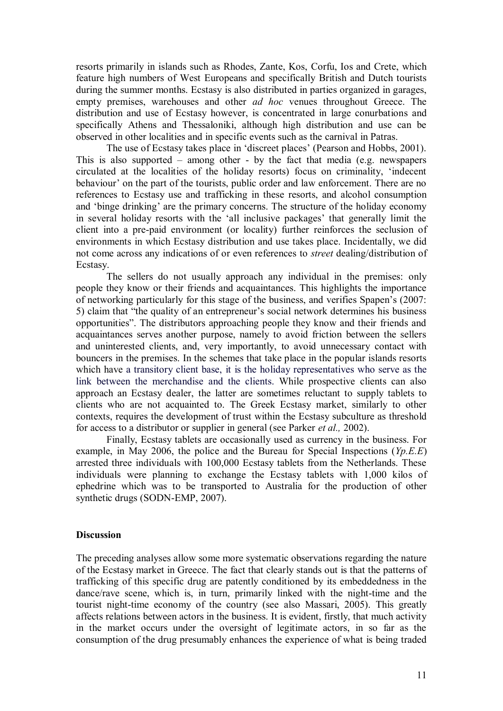resorts primarily in islands such as Rhodes, Zante, Kos, Corfu, Ios and Crete, which feature high numbers of West Europeans and specifically British and Dutch tourists during the summer months. Ecstasy is also distributed in parties organized in garages, empty premises, warehouses and other *ad hoc* venues throughout Greece. The distribution and use of Ecstasy however, is concentrated in large conurbations and specifically Athens and Thessaloniki, although high distribution and use can be observed in other localities and in specific events such as the carnival in Patras.

The use of Ecstasy takes place in 'discreet places' (Pearson and Hobbs, 2001). This is also supported – among other - by the fact that media (e.g. newspapers circulated at the localities of the holiday resorts) focus on criminality, ‗indecent behaviour' on the part of the tourists, public order and law enforcement. There are no references to Ecstasy use and trafficking in these resorts, and alcohol consumption and 'binge drinking' are the primary concerns. The structure of the holiday economy in several holiday resorts with the 'all inclusive packages' that generally limit the client into a pre-paid environment (or locality) further reinforces the seclusion of environments in which Ecstasy distribution and use takes place. Incidentally, we did not come across any indications of or even references to *street* dealing/distribution of **Ecstasy** 

The sellers do not usually approach any individual in the premises: only people they know or their friends and acquaintances. This highlights the importance of networking particularly for this stage of the business, and verifies Spapen's (2007: 5) claim that "the quality of an entrepreneur's social network determines his business opportunities". The distributors approaching people they know and their friends and acquaintances serves another purpose, namely to avoid friction between the sellers and uninterested clients, and, very importantly, to avoid unnecessary contact with bouncers in the premises. In the schemes that take place in the popular islands resorts which have a transitory client base, it is the holiday representatives who serve as the link between the merchandise and the clients. While prospective clients can also approach an Ecstasy dealer, the latter are sometimes reluctant to supply tablets to clients who are not acquainted to. The Greek Ecstasy market, similarly to other contexts, requires the development of trust within the Ecstasy subculture as threshold for access to a distributor or supplier in general (see Parker *et al.,* 2002).

Finally, Ecstasy tablets are occasionally used as currency in the business. For example, in May 2006, the police and the Bureau for Special Inspections (*Yp.E.E*) arrested three individuals with 100,000 Ecstasy tablets from the Netherlands. These individuals were planning to exchange the Ecstasy tablets with 1,000 kilos of ephedrine which was to be transported to Australia for the production of other synthetic drugs (SODN-EMP, 2007).

# **Discussion**

The preceding analyses allow some more systematic observations regarding the nature of the Ecstasy market in Greece. The fact that clearly stands out is that the patterns of trafficking of this specific drug are patently conditioned by its embeddedness in the dance/rave scene, which is, in turn, primarily linked with the night-time and the tourist night-time economy of the country (see also Massari, 2005). This greatly affects relations between actors in the business. It is evident, firstly, that much activity in the market occurs under the oversight of legitimate actors, in so far as the consumption of the drug presumably enhances the experience of what is being traded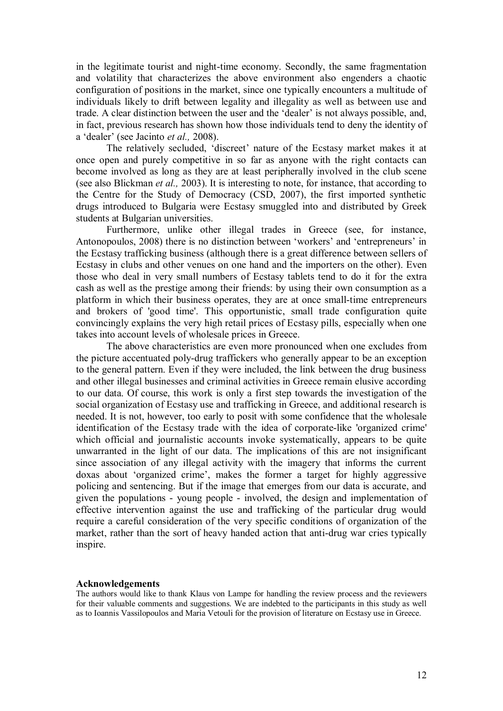in the legitimate tourist and night-time economy. Secondly, the same fragmentation and volatility that characterizes the above environment also engenders a chaotic configuration of positions in the market, since one typically encounters a multitude of individuals likely to drift between legality and illegality as well as between use and trade. A clear distinction between the user and the 'dealer' is not always possible, and, in fact, previous research has shown how those individuals tend to deny the identity of a ‗dealer' (see Jacinto *et al.,* 2008).

The relatively secluded, 'discreet' nature of the Ecstasy market makes it at once open and purely competitive in so far as anyone with the right contacts can become involved as long as they are at least peripherally involved in the club scene (see also Blickman *et al.,* 2003). It is interesting to note, for instance, that according to the Centre for the Study of Democracy (CSD, 2007), the first imported synthetic drugs introduced to Bulgaria were Ecstasy smuggled into and distributed by Greek students at Bulgarian universities.

Furthermore, unlike other illegal trades in Greece (see, for instance, Antonopoulos, 2008) there is no distinction between 'workers' and 'entrepreneurs' in the Ecstasy trafficking business (although there is a great difference between sellers of Ecstasy in clubs and other venues on one hand and the importers on the other). Even those who deal in very small numbers of Ecstasy tablets tend to do it for the extra cash as well as the prestige among their friends: by using their own consumption as a platform in which their business operates, they are at once small-time entrepreneurs and brokers of 'good time'. This opportunistic, small trade configuration quite convincingly explains the very high retail prices of Ecstasy pills, especially when one takes into account levels of wholesale prices in Greece.

The above characteristics are even more pronounced when one excludes from the picture accentuated poly-drug traffickers who generally appear to be an exception to the general pattern. Even if they were included, the link between the drug business and other illegal businesses and criminal activities in Greece remain elusive according to our data. Of course, this work is only a first step towards the investigation of the social organization of Ecstasy use and trafficking in Greece, and additional research is needed. It is not, however, too early to posit with some confidence that the wholesale identification of the Ecstasy trade with the idea of corporate-like 'organized crime' which official and journalistic accounts invoke systematically, appears to be quite unwarranted in the light of our data. The implications of this are not insignificant since association of any illegal activity with the imagery that informs the current doxas about 'organized crime', makes the former a target for highly aggressive policing and sentencing. But if the image that emerges from our data is accurate, and given the populations - young people - involved, the design and implementation of effective intervention against the use and trafficking of the particular drug would require a careful consideration of the very specific conditions of organization of the market, rather than the sort of heavy handed action that anti-drug war cries typically inspire.

#### **Acknowledgements**

The authors would like to thank Klaus von Lampe for handling the review process and the reviewers for their valuable comments and suggestions. We are indebted to the participants in this study as well as to Ioannis Vassilopoulos and Maria Vetouli for the provision of literature on Ecstasy use in Greece.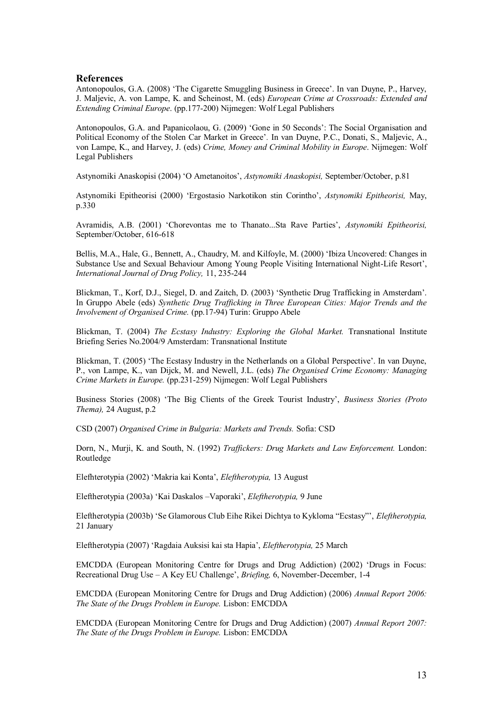#### **References**

Antonopoulos, G.A. (2008) 'The Cigarette Smuggling Business in Greece'. In van Duyne, P., Harvey, J. Maljevic, A. von Lampe, K. and Scheinost, M. (eds) *European Crime at Crossroads: Extended and Extending Criminal Europe*. (pp.177-200) Nijmegen: Wolf Legal Publishers

Antonopoulos, G.A. and Papanicolaou, G. (2009) 'Gone in 50 Seconds': The Social Organisation and Political Economy of the Stolen Car Market in Greece'*.* In van Duyne, P.C., Donati, S., Maljevic, A., von Lampe, K., and Harvey, J. (eds) *Crime, Money and Criminal Mobility in Europe*. Nijmegen: Wolf Legal Publishers

Astynomiki Anaskopisi (2004) ‗O Ametanoitos', *Astynomiki Anaskopisi,* September/October, p.81

Astynomiki Epitheorisi (2000) ‗Ergostasio Narkotikon stin Corintho', *Astynomiki Epitheorisi,* May, p.330

Avramidis, A.B. (2001) ‗Chorevontas me to Thanato...Sta Rave Parties', *Astynomiki Epitheorisi,*  September/October, 616-618

Bellis, M.A., Hale, G., Bennett, A., Chaudry, M. and Kilfoyle, M. (2000) 'Ibiza Uncovered: Changes in Substance Use and Sexual Behaviour Among Young People Visiting International Night-Life Resort', *International Journal of Drug Policy,* 11, 235-244

Blickman, T., Korf, D.J., Siegel, D. and Zaitch, D. (2003) ‗Synthetic Drug Trafficking in Amsterdam'. In Gruppo Abele (eds) *Synthetic Drug Trafficking in Three European Cities: Major Trends and the Involvement of Organised Crime.* (pp.17-94) Turin: Gruppo Abele

Blickman, T. (2004) *The Ecstasy Industry: Exploring the Global Market.* Transnational Institute Briefing Series No.2004/9 Amsterdam: Transnational Institute

Blickman, T. (2005) 'The Ecstasy Industry in the Netherlands on a Global Perspective'. In van Duyne, P., von Lampe, K., van Dijck, M. and Newell, J.L. (eds) *The Organised Crime Economy: Managing Crime Markets in Europe.* (pp.231-259) Nijmegen: Wolf Legal Publishers

Business Stories (2008) ‗The Big Clients of the Greek Tourist Industry', *Business Stories (Proto Thema),* 24 August, p.2

CSD (2007) *Organised Crime in Bulgaria: Markets and Trends.* Sofia: CSD

Dorn, N., Murji, K. and South, N. (1992) *Traffickers: Drug Markets and Law Enforcement.* London: Routledge

Elefhterotypia (2002) ‗Makria kai Konta', *Eleftherotypia,* 13 August

Eleftherotypia (2003a) ‗Kai Daskalos –Vaporaki', *Eleftherotypia,* 9 June

Eleftherotypia (2003b) 'Se Glamorous Club Eihe Rikei Dichtya to Kykloma "Ecstasy", *Eleftherotypia*, 21 January

Eleftherotypia (2007) ‗Ragdaia Auksisi kai sta Hapia', *Eleftherotypia,* 25 March

EMCDDA (European Monitoring Centre for Drugs and Drug Addiction) (2002) ‗Drugs in Focus: Recreational Drug Use – A Key EU Challenge', *Briefing,* 6, November-December, 1-4

EMCDDA (European Monitoring Centre for Drugs and Drug Addiction) (2006) *Annual Report 2006: The State of the Drugs Problem in Europe.* Lisbon: EMCDDA

EMCDDA (European Monitoring Centre for Drugs and Drug Addiction) (2007) *Annual Report 2007: The State of the Drugs Problem in Europe.* Lisbon: EMCDDA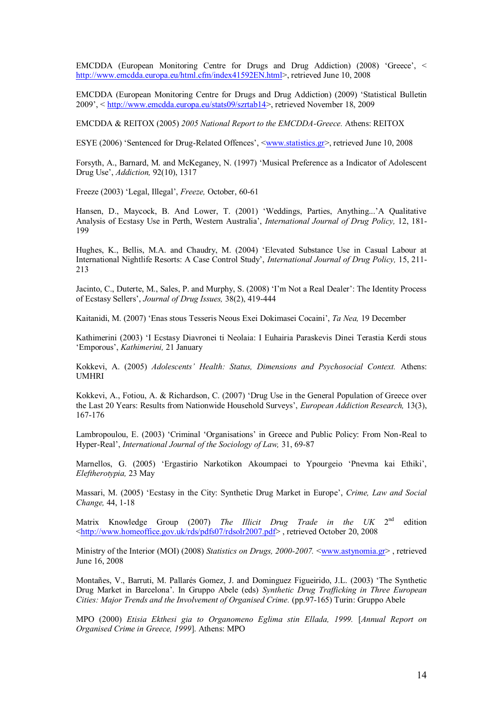EMCDDA (European Monitoring Centre for Drugs and Drug Addiction) (2008) 'Greece', < [http://www.emcdda.europa.eu/html.cfm/index41592EN.html>](http://www.emcdda.europa.eu/html.cfm/index41592EN.html), retrieved June 10, 2008

EMCDDA (European Monitoring Centre for Drugs and Drug Addiction) (2009) ‗Statistical Bulletin 2009', < [http://www.emcdda.europa.eu/stats09/szrtab14>](http://www.emcdda.europa.eu/stats09/szrtab14), retrieved November 18, 2009

EMCDDA & REITOX (2005) *2005 National Report to the EMCDDA-Greece.* Athens: REITOX

ESYE (2006) 'Sentenced for Drug-Related Offences', [<www.statistics.gr>](http://www.statistics.gr/), retrieved June 10, 2008

Forsyth, A., Barnard, M. and McKeganey, N. (1997) 'Musical Preference as a Indicator of Adolescent Drug Use', *Addiction,* 92(10), 1317

Freeze (2003) ‗Legal, Illegal', *Freeze,* October, 60-61

Hansen, D., Maycock, B. And Lower, T. (2001) ‗Weddings, Parties, Anything...'A Qualitative Analysis of Ecstasy Use in Perth, Western Australia', *International Journal of Drug Policy,* 12, 181- 199

Hughes, K., Bellis, M.A. and Chaudry, M. (2004) 'Elevated Substance Use in Casual Labour at International Nightlife Resorts: A Case Control Study', *International Journal of Drug Policy,* 15, 211- 213

Jacinto, C., Duterte, M., Sales, P. and Murphy, S. (2008) ‗I'm Not a Real Dealer': The Identity Process of Ecstasy Sellers', *Journal of Drug Issues,* 38(2), 419-444

Kaitanidi, M. (2007) ‗Enas stous Tesseris Neous Exei Dokimasei Cocaini', *Ta Nea,* 19 December

Kathimerini (2003) ‗I Ecstasy Diavronei ti Neolaia: I Euhairia Paraskevis Dinei Terastia Kerdi stous ‗Emporous', *Kathimerini,* 21 January

Kokkevi, A. (2005) *Adolescents' Health: Status, Dimensions and Psychosocial Context.* Athens: UMHRI

Kokkevi, A., Fotiou, A. & Richardson, C. (2007) 'Drug Use in the General Population of Greece over the Last 20 Years: Results from Nationwide Household Surveys', *European Addiction Research,* 13(3), 167-176

Lambropoulou, E. (2003) 'Criminal 'Organisations' in Greece and Public Policy: From Non-Real to Hyper-Real', *International Journal of the Sociology of Law,* 31, 69-87

Marnellos, G. (2005) ‗Ergastirio Narkotikon Akoumpaei to Ypourgeio ‗Pnevma kai Ethiki', *Eleftherotypia,* 23 May

Massari, M. (2005) ‗Ecstasy in the City: Synthetic Drug Market in Europe', *Crime, Law and Social Change,* 44, 1-18

Matrix Knowledge Group (2007) *The Illicit Drug Trade in the UK* 2 edition [<http://www.homeoffice.gov.uk/rds/pdfs07/rdsolr2007.pdf>](http://www.homeoffice.gov.uk/rds/pdfs07/rdsolr2007.pdf) , retrieved October 20, 2008

Ministry of the Interior (MOI) (2008) *Statistics on Drugs, 2000-2007*. [<www.astynomia.gr>](http://www.astynomia.gr/), retrieved June 16, 2008

Montañes, V., Barruti, M. Pallarés Gomez, J. and Dominguez Figueirido, J.L. (2003) 'The Synthetic Drug Market in Barcelona'. In Gruppo Abele (eds) *Synthetic Drug Trafficking in Three European Cities: Major Trends and the Involvement of Organised Crime.* (pp.97-165) Turin: Gruppo Abele

MPO (2000) *Etisia Ekthesi gia to Organomeno Eglima stin Ellada, 1999.* [*Annual Report on Organised Crime in Greece, 1999*]. Athens: MPO